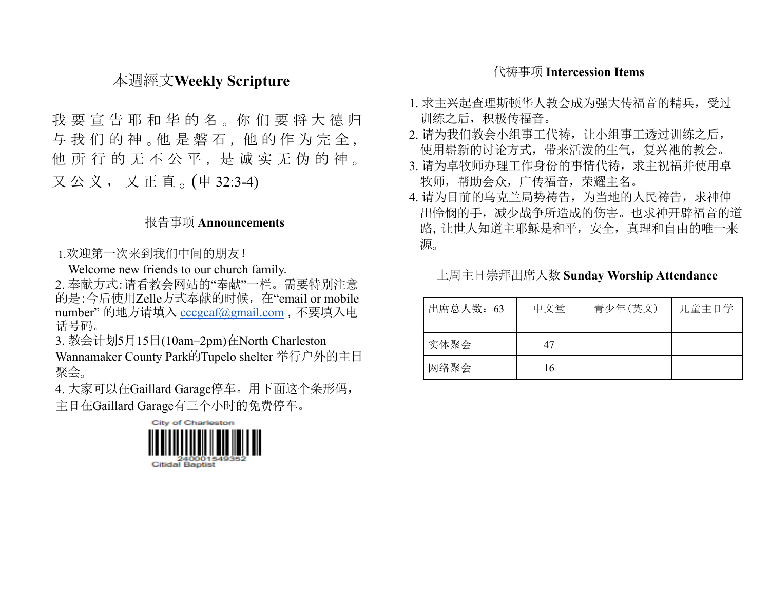# 本週經文**Weekly Scripture**

我 要 宣 告 耶 和 华 的 名 。 你 们 要 将 大 德 归 与我们的神。他是磐石,他的作为完全, 他 所 行 的 无 不 公 平 , 是 诚 实 无 伪 的 神 。 又 公 义 , 又 正 直 。(申 32:3-4)

#### 报告事项 **Announcements**

#### 1.欢迎第一次来到我们中间的朋友!

Welcome new friends to our church family.

2. 奉献方式:请看教会网站的"奉献"一栏。需要特别注意 的是:今后使用Zelle方式奉献的时候,在"email or mobile number" 的地方请填入 [cccgcaf@gmail.com](mailto:cccgcaf@gmail.com) ,不要填入电 话号码。

3. 教会计划5月15日(10am–2pm)在North Charleston

Wannamaker County Park的Tupelo shelter 举行户外的主日 聚会。

4. 大家可以在Gaillard Garage停车。用下面这个条形码, 主日在Gaillard Garage有三个小时的免费停车。



## 代祷事项 **Intercession Items**

- 1. 求主兴起查理斯顿华人教会成为强大传福音的精兵,受过 训练之后,积极传福音。
- 2. 请为我们教会小组事工代祷,让小组事工透过训练之后, 使用崭新的讨论方式,带来活泼的生气,复兴祂的教会。
- 3. 请为卓牧师办理工作身份的事情代祷, 求主祝福并使用卓 牧师,帮助会众,广传福音,荣耀主名。
- 4. 请为目前的乌克兰局势祷告,为当地的人民祷告,求神伸 出怜悯的手,减少战争所造成的伤害。也求神开辟福音的道 路,让世人知道主耶稣是和平,安全,真理和自由的唯一来 源。

| 出席总人数: 63 | 中文堂 | 青少年(英文) | 儿童主日学 |
|-----------|-----|---------|-------|
| 实体聚会      | 47  |         |       |
| 网络聚会      | 16  |         |       |

## 上周主日崇拜出席人数 **Sunday Worship Attendance**